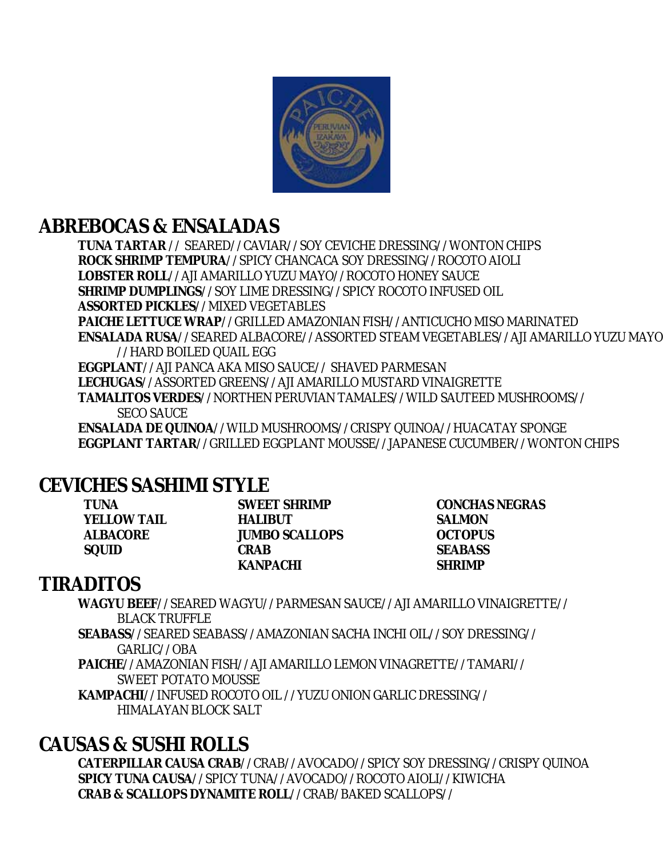

# **ABREBOCAS & ENSALADAS**

**TUNA TARTAR** // SEARED//CAVIAR//SOY CEVICHE DRESSING//WONTON CHIPS **ROCK SHRIMP TEMPURA**//SPICY CHANCACA SOY DRESSING//ROCOTO AIOLI **LOBSTER ROLL**//AJI AMARILLO YUZU MAYO//ROCOTO HONEY SAUCE **SHRIMP DUMPLINGS**//SOY LIME DRESSING//SPICY ROCOTO INFUSED OIL **ASSORTED PICKLES**//MIXED VEGETABLES **PAICHE LETTUCE WRAP**//GRILLED AMAZONIAN FISH//ANTICUCHO MISO MARINATED **ENSALADA RUSA**//SEARED ALBACORE//ASSORTED STEAM VEGETABLES//AJI AMARILLO YUZU MAYO //HARD BOILED QUAIL EGG **EGGPLANT**//AJI PANCA AKA MISO SAUCE// SHAVED PARMESAN **LECHUGAS**//ASSORTED GREENS//AJI AMARILLO MUSTARD VINAIGRETTE **TAMALITOS VERDES**//NORTHEN PERUVIAN TAMALES//WILD SAUTEED MUSHROOMS//

SECO SAUCE

**ENSALADA DE QUINOA**//WILD MUSHROOMS//CRISPY QUINOA//HUACATAY SPONGE **EGGPLANT TARTAR**//GRILLED EGGPLANT MOUSSE//JAPANESE CUCUMBER//WONTON CHIPS

## **CEVICHES SASHIMI STYLE**

**YELLOW TAIL HALIBUT SALMON ALBACORE JUMBO SCALLOPS OCTOPUS SQUID CRAB SEABASS KANPACHI SHRIMP**

**TUNA SWEET SHRIMP CONCHAS NEGRAS**

## **TIRADITOS**

**WAGYU BEEF**//SEARED WAGYU//PARMESAN SAUCE//AJI AMARILLO VINAIGRETTE// BLACK TRUFFLE **SEABASS**//SEARED SEABASS//AMAZONIAN SACHA INCHI OIL//SOY DRESSING// GARLIC//OBA **PAICHE**//AMAZONIAN FISH//AJI AMARILLO LEMON VINAGRETTE//TAMARI// SWEET POTATO MOUSSE

**KAMPACHI**//INFUSED ROCOTO OIL //YUZU ONION GARLIC DRESSING// HIMALAYAN BLOCK SALT

# **CAUSAS & SUSHI ROLLS**

**CATERPILLAR CAUSA CRAB**//CRAB//AVOCADO//SPICY SOY DRESSING//CRISPY QUINOA **SPICY TUNA CAUSA**//SPICY TUNA//AVOCADO//ROCOTO AIOLI//KIWICHA **CRAB & SCALLOPS DYNAMITE ROLL**//CRAB/BAKED SCALLOPS//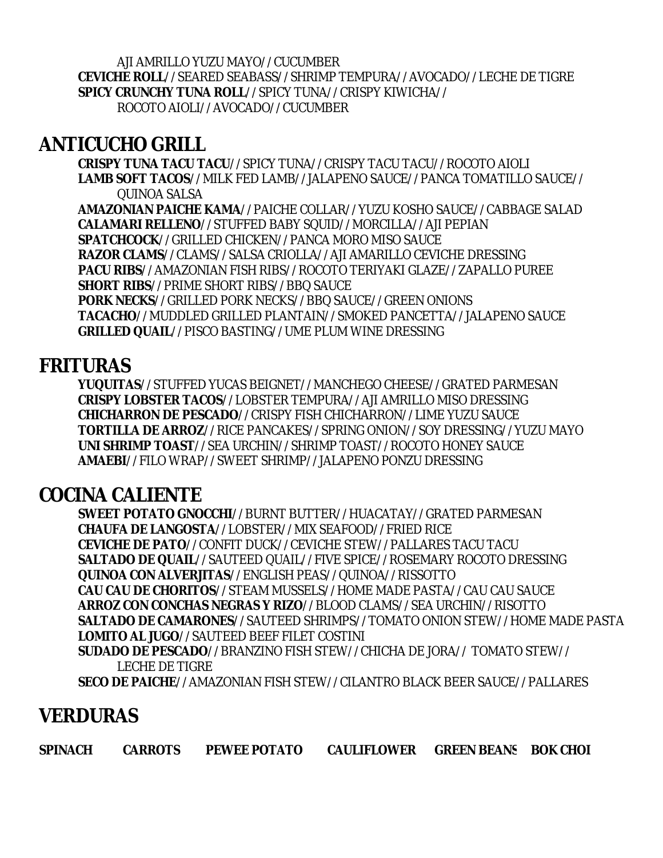AJI AMRILLO YUZU MAYO//CUCUMBER **CEVICHE ROLL**//SEARED SEABASS//SHRIMP TEMPURA//AVOCADO//LECHE DE TIGRE **SPICY CRUNCHY TUNA ROLL**//SPICY TUNA//CRISPY KIWICHA// ROCOTO AIOLI//AVOCADO//CUCUMBER

### **ANTICUCHO GRILL**

**CRISPY TUNA TACU TACU**//SPICY TUNA//CRISPY TACU TACU//ROCOTO AIOLI **LAMB SOFT TACOS**//MILK FED LAMB//JALAPENO SAUCE//PANCA TOMATILLO SAUCE// QUINOA SALSA

**AMAZONIAN PAICHE KAMA**//PAICHE COLLAR//YUZU KOSHO SAUCE//CABBAGE SALAD **CALAMARI RELLENO**//STUFFED BABY SQUID//MORCILLA//AJI PEPIAN **SPATCHCOCK**//GRILLED CHICKEN//PANCA MORO MISO SAUCE **RAZOR CLAMS**//CLAMS//SALSA CRIOLLA//AJI AMARILLO CEVICHE DRESSING **PACU RIBS**//AMAZONIAN FISH RIBS//ROCOTO TERIYAKI GLAZE//ZAPALLO PUREE **SHORT RIBS**//PRIME SHORT RIBS//BBQ SAUCE **PORK NECKS**//GRILLED PORK NECKS//BBQ SAUCE//GREEN ONIONS **TACACHO**//MUDDLED GRILLED PLANTAIN//SMOKED PANCETTA//JALAPENO SAUCE **GRILLED QUAIL**//PISCO BASTING//UME PLUM WINE DRESSING

### **FRITURAS**

**YUQUITAS**//STUFFED YUCAS BEIGNET//MANCHEGO CHEESE//GRATED PARMESAN **CRISPY LOBSTER TACOS**//LOBSTER TEMPURA//AJI AMRILLO MISO DRESSING **CHICHARRON DE PESCADO**//CRISPY FISH CHICHARRON//LIME YUZU SAUCE **TORTILLA DE ARROZ**//RICE PANCAKES//SPRING ONION//SOY DRESSING//YUZU MAYO **UNI SHRIMP TOAST**//SEA URCHIN//SHRIMP TOAST//ROCOTO HONEY SAUCE **AMAEBI**//FILO WRAP//SWEET SHRIMP//JALAPENO PONZU DRESSING

# **COCINA CALIENTE**

**SWEET POTATO GNOCCHI**//BURNT BUTTER//HUACATAY//GRATED PARMESAN **CHAUFA DE LANGOSTA**//LOBSTER//MIX SEAFOOD//FRIED RICE **CEVICHE DE PATO**//CONFIT DUCK//CEVICHE STEW//PALLARES TACU TACU **SALTADO DE QUAIL**//SAUTEED QUAIL//FIVE SPICE//ROSEMARY ROCOTO DRESSING **QUINOA CON ALVERJITAS**//ENGLISH PEAS//QUINOA//RISSOTTO **CAU CAU DE CHORITOS**//STEAM MUSSELS//HOME MADE PASTA//CAU CAU SAUCE **ARROZ CON CONCHAS NEGRAS Y RIZO**//BLOOD CLAMS//SEA URCHIN//RISOTTO **SALTADO DE CAMARONES**//SAUTEED SHRIMPS//TOMATO ONION STEW//HOME MADE PASTA **LOMITO AL JUGO**//SAUTEED BEEF FILET COSTINI **SUDADO DE PESCADO**//BRANZINO FISH STEW//CHICHA DE JORA// TOMATO STEW// LECHE DE TIGRE **SECO DE PAICHE**//AMAZONIAN FISH STEW//CILANTRO BLACK BEER SAUCE//PALLARES

### **VERDURAS**

**SPINACH CARROTS PEWEE POTATO CAULIFLOWER GREEN BEANS BOK CHOI**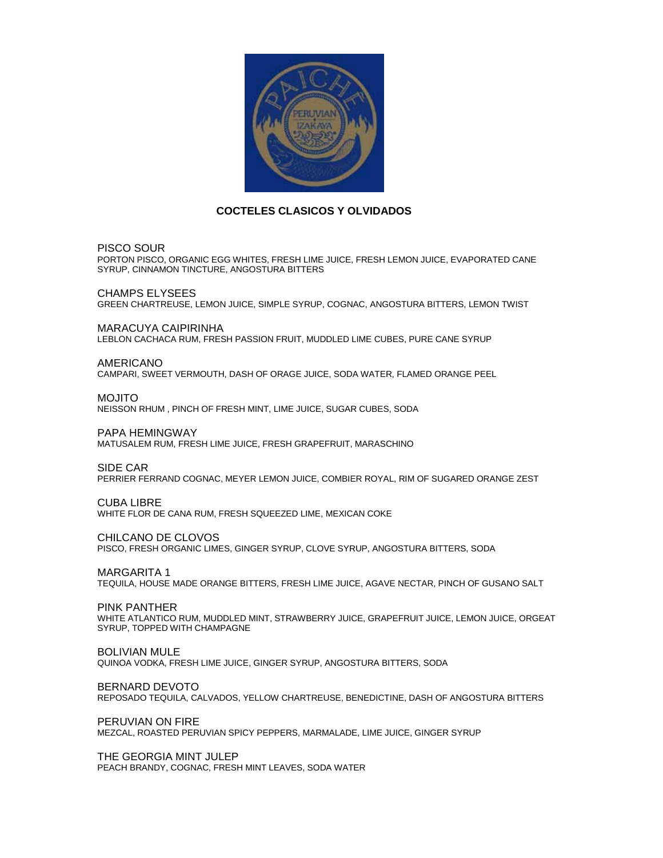

#### **COCTELES CLASICOS Y OLVIDADOS**

PISCO SOUR

PORTON PISCO, ORGANIC EGG WHITES, FRESH LIME JUICE, FRESH LEMON JUICE, EVAPORATED CANE SYRUP, CINNAMON TINCTURE, ANGOSTURA BITTERS

CHAMPS ELYSEES GREEN CHARTREUSE, LEMON JUICE, SIMPLE SYRUP, COGNAC, ANGOSTURA BITTERS, LEMON TWIST

MARACUYA CAIPIRINHA LEBLON CACHACA RUM, FRESH PASSION FRUIT, MUDDLED LIME CUBES, PURE CANE SYRUP

AMERICANO

CAMPARI, SWEET VERMOUTH, DASH OF ORAGE JUICE, SODA WATER, FLAMED ORANGE PEEL

MOJITO

NEISSON RHUM , PINCH OF FRESH MINT, LIME JUICE, SUGAR CUBES, SODA

PAPA HEMINGWAY

MATUSALEM RUM, FRESH LIME JUICE, FRESH GRAPEFRUIT, MARASCHINO

SIDE CAR

PERRIER FERRAND COGNAC, MEYER LEMON JUICE, COMBIER ROYAL, RIM OF SUGARED ORANGE ZEST

CUBA LIBRE<br>WHITE FLOR DE CANA RUM, FRESH SQUEEZED LIME, MEXICAN COKE

CHILCANO DE CLOVOS

PISCO, FRESH ORGANIC LIMES, GINGER SYRUP, CLOVE SYRUP, ANGOSTURA BITTERS, SODA

MARGARITA 1

TEQUILA, HOUSE MADE ORANGE BITTERS, FRESH LIME JUICE, AGAVE NECTAR, PINCH OF GUSANO SALT

PINK PANTHER

WHITE ATLANTICO RUM, MUDDLED MINT, STRAWBERRY JUICE, GRAPEFRUIT JUICE, LEMON JUICE, ORGEAT SYRUP, TOPPED WITH CHAMPAGNE

BOLIVIAN MULE

QUINOA VODKA, FRESH LIME JUICE, GINGER SYRUP, ANGOSTURA BITTERS, SODA

BERNARD DEVOTO

REPOSADO TEQUILA, CALVADOS, YELLOW CHARTREUSE, BENEDICTINE, DASH OF ANGOSTURA BITTERS

PERUVIAN ON FIRE

MEZCAL, ROASTED PERUVIAN SPICY PEPPERS, MARMALADE, LIME JUICE, GINGER SYRUP

THE GEORGIA MINT JULEP PEACH BRANDY, COGNAC, FRESH MINT LEAVES, SODA WATER